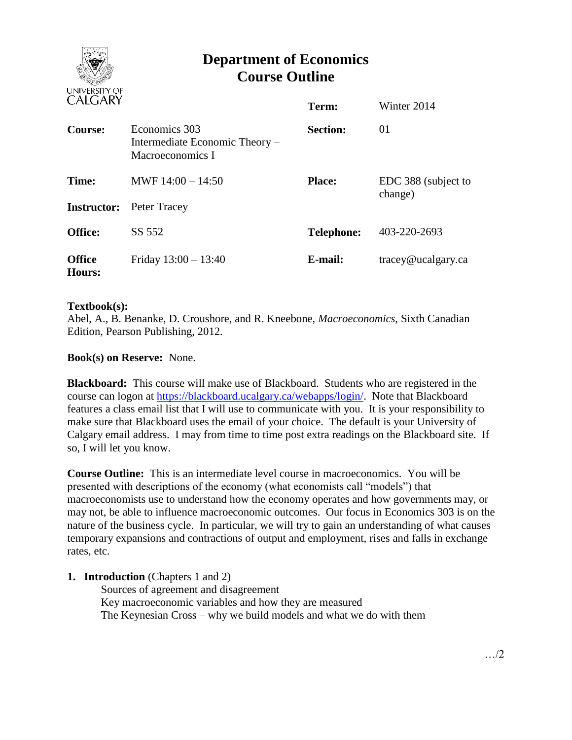

# **Department of Economics Course Outline**

| <b>UALUANI</b>          |                                                                     | Term:             | Winter 2014                    |
|-------------------------|---------------------------------------------------------------------|-------------------|--------------------------------|
| Course:                 | Economics 303<br>Intermediate Economic Theory –<br>Macroeconomics I | <b>Section:</b>   | 01                             |
| Time:                   | MWF $14:00 - 14:50$                                                 | <b>Place:</b>     | EDC 388 (subject to<br>change) |
|                         | <b>Instructor:</b> Peter Tracey                                     |                   |                                |
| <b>Office:</b>          | SS 552                                                              | <b>Telephone:</b> | 403-220-2693                   |
| <b>Office</b><br>Hours: | Friday $13:00 - 13:40$                                              | E-mail:           | tracey@ucalgary.ca             |

### **Textbook(s):**

Abel, A., B. Benanke, D. Croushore, and R. Kneebone, *Macroeconomics*, Sixth Canadian Edition, Pearson Publishing, 2012.

## **Book(s) on Reserve:** None.

**Blackboard:** This course will make use of Blackboard. Students who are registered in the course can logon at [https://blackboard.ucalgary.ca/webapps/login/.](https://blackboard.ucalgary.ca/webapps/login/) Note that Blackboard features a class email list that I will use to communicate with you. It is your responsibility to make sure that Blackboard uses the email of your choice. The default is your University of Calgary email address. I may from time to time post extra readings on the Blackboard site. If so, I will let you know.

**Course Outline:** This is an intermediate level course in macroeconomics. You will be presented with descriptions of the economy (what economists call "models") that macroeconomists use to understand how the economy operates and how governments may, or may not, be able to influence macroeconomic outcomes. Our focus in Economics 303 is on the nature of the business cycle. In particular, we will try to gain an understanding of what causes temporary expansions and contractions of output and employment, rises and falls in exchange rates, etc.

### **1. Introduction** (Chapters 1 and 2)

Sources of agreement and disagreement Key macroeconomic variables and how they are measured The Keynesian Cross – why we build models and what we do with them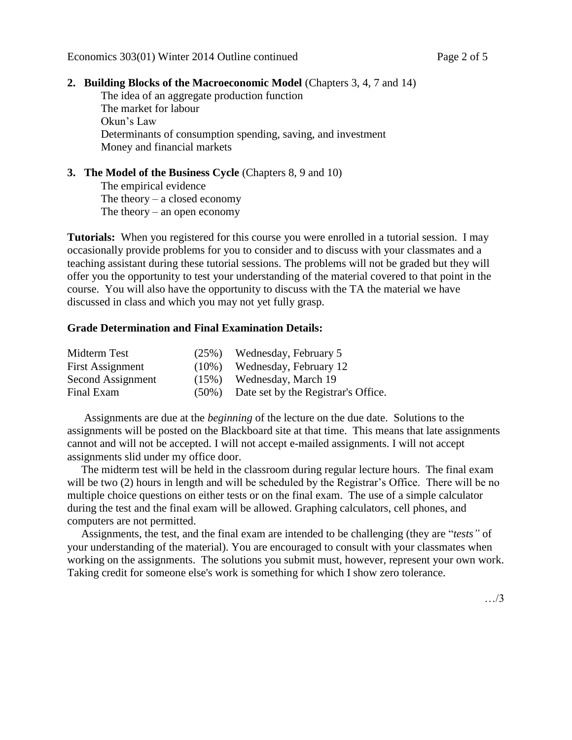### **2. Building Blocks of the Macroeconomic Model** (Chapters 3, 4, 7 and 14)

The idea of an aggregate production function The market for labour Okun's Law Determinants of consumption spending, saving, and investment Money and financial markets

# **3. The Model of the Business Cycle** (Chapters 8, 9 and 10)

The empirical evidence The theory  $-$  a closed economy The theory – an open economy

**Tutorials:** When you registered for this course you were enrolled in a tutorial session. I may occasionally provide problems for you to consider and to discuss with your classmates and a teaching assistant during these tutorial sessions. The problems will not be graded but they will offer you the opportunity to test your understanding of the material covered to that point in the course. You will also have the opportunity to discuss with the TA the material we have discussed in class and which you may not yet fully grasp.

## **Grade Determination and Final Examination Details:**

| Midterm Test      |          | $(25\%)$ Wednesday, February 5            |
|-------------------|----------|-------------------------------------------|
| First Assignment  | $(10\%)$ | Wednesday, February 12                    |
| Second Assignment |          | $(15\%)$ Wednesday, March 19              |
| Final Exam        |          | (50%) Date set by the Registrar's Office. |

 Assignments are due at the *beginning* of the lecture on the due date. Solutions to the assignments will be posted on the Blackboard site at that time. This means that late assignments cannot and will not be accepted. I will not accept e-mailed assignments. I will not accept assignments slid under my office door.

 The midterm test will be held in the classroom during regular lecture hours. The final exam will be two (2) hours in length and will be scheduled by the Registrar's Office. There will be no multiple choice questions on either tests or on the final exam. The use of a simple calculator during the test and the final exam will be allowed. Graphing calculators, cell phones, and computers are not permitted.

 Assignments, the test, and the final exam are intended to be challenging (they are "*tests"* of your understanding of the material). You are encouraged to consult with your classmates when working on the assignments. The solutions you submit must, however, represent your own work. Taking credit for someone else's work is something for which I show zero tolerance.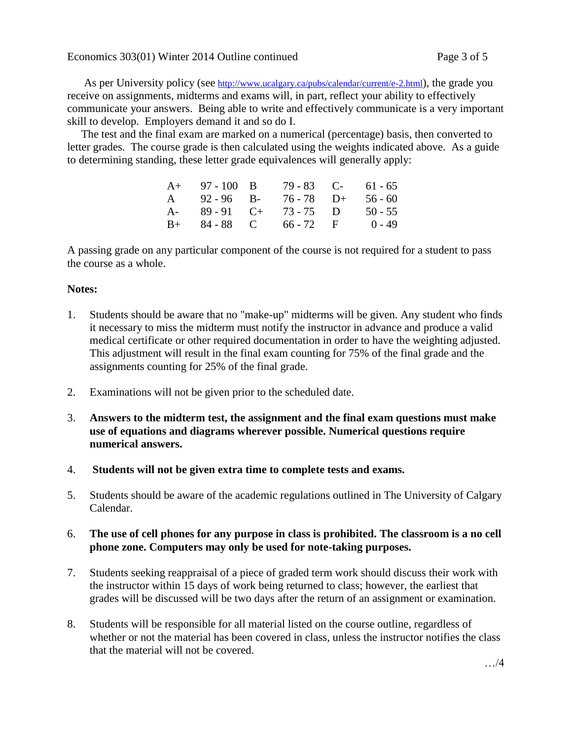As per University policy (see <http://www.ucalgary.ca/pubs/calendar/current/e-2.html>), the grade you receive on assignments, midterms and exams will, in part, reflect your ability to effectively communicate your answers. Being able to write and effectively communicate is a very important skill to develop. Employers demand it and so do I.

 The test and the final exam are marked on a numerical (percentage) basis, then converted to letter grades. The course grade is then calculated using the weights indicated above. As a guide to determining standing, these letter grade equivalences will generally apply:

|      | $A+ 97-100 B$ | 79 - 83 C-             | 61 - 65   |
|------|---------------|------------------------|-----------|
| A    | 92 - 96 B-    | $76 - 78$ D+           | $56 - 60$ |
| $A-$ | 89 - 91 C+    | $73 - 75$ D            | $50 - 55$ |
|      |               | $B+ 84-88$ C 66 - 72 F | $0 - 49$  |

A passing grade on any particular component of the course is not required for a student to pass the course as a whole.

## **Notes:**

- 1. Students should be aware that no "make-up" midterms will be given. Any student who finds it necessary to miss the midterm must notify the instructor in advance and produce a valid medical certificate or other required documentation in order to have the weighting adjusted. This adjustment will result in the final exam counting for 75% of the final grade and the assignments counting for 25% of the final grade.
- 2. Examinations will not be given prior to the scheduled date.
- 3. **Answers to the midterm test, the assignment and the final exam questions must make use of equations and diagrams wherever possible. Numerical questions require numerical answers.**
- 4. **Students will not be given extra time to complete tests and exams.**
- 5. Students should be aware of the academic regulations outlined in The University of Calgary Calendar.

# 6. **The use of cell phones for any purpose in class is prohibited. The classroom is a no cell phone zone. Computers may only be used for note-taking purposes.**

- 7. Students seeking reappraisal of a piece of graded term work should discuss their work with the instructor within 15 days of work being returned to class; however, the earliest that grades will be discussed will be two days after the return of an assignment or examination.
- 8. Students will be responsible for all material listed on the course outline, regardless of whether or not the material has been covered in class, unless the instructor notifies the class that the material will not be covered.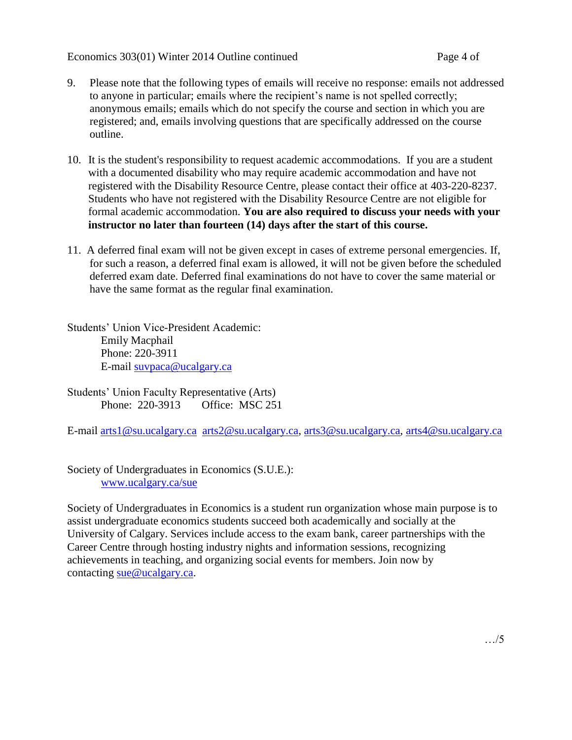Economics 303(01) Winter 2014 Outline continued Page 4 of

- 9. Please note that the following types of emails will receive no response: emails not addressed to anyone in particular; emails where the recipient's name is not spelled correctly; anonymous emails; emails which do not specify the course and section in which you are registered; and, emails involving questions that are specifically addressed on the course outline.
- 10. It is the student's responsibility to request academic accommodations. If you are a student with a documented disability who may require academic accommodation and have not registered with the Disability Resource Centre, please contact their office at 403-220-8237. Students who have not registered with the Disability Resource Centre are not eligible for formal academic accommodation. **You are also required to discuss your needs with your instructor no later than fourteen (14) days after the start of this course.**
- 11. A deferred final exam will not be given except in cases of extreme personal emergencies. If, for such a reason, a deferred final exam is allowed, it will not be given before the scheduled deferred exam date. Deferred final examinations do not have to cover the same material or have the same format as the regular final examination.

Students' Union Vice-President Academic: Emily Macphail Phone: 220-3911 E-mail [suvpaca@ucalgary.ca](mailto:subpaca@ucalgary.ca)

Students' Union Faculty Representative (Arts) Phone: 220-3913 Office: MSC 251

E-mail [arts1@su.ucalgary.ca](mailto:arts1@su.ucalgary.ca) [arts2@su.ucalgary.ca,](mailto:arts2@su.ucalgary.ca) [arts3@su.ucalgary.ca,](mailto:arts3@su.ucalgary.ca) [arts4@su.ucalgary.ca](mailto:arts4@su.ucalgary.ca)

Society of Undergraduates in Economics (S.U.E.): [www.ucalgary.ca/sue](http://www.fp.ucalgary.ca/econ)

Society of Undergraduates in Economics is a student run organization whose main purpose is to assist undergraduate economics students succeed both academically and socially at the University of Calgary. Services include access to the exam bank, career partnerships with the Career Centre through hosting industry nights and information sessions, recognizing achievements in teaching, and organizing social events for members. Join now by contacting [sue@ucalgary.ca.](mailto:sue@ucalgary.ca)